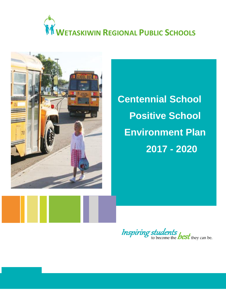# **WETASKIWIN REGIONAL PUBLIC SCHOOLS**



**Centennial School Positive School Environment Plan 2017 - 2020**

**Inspiring students** best they can be.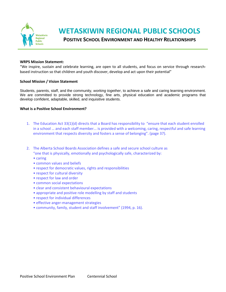

# **WETASKIWIN REGIONAL PUBLIC SCHOOLS**

**POSITIVE SCHOOL ENVIRONMENT AND HEALTHY RELATIONSHIPS**

#### **WRPS Mission Statement:**

"We inspire, sustain and celebrate learning, are open to all students, and focus on service through researchbased instruction so that children and youth discover, develop and act upon their potential"

#### **School Mission / Vision Statement**

Students, parents, staff, and the community, *working together*, to achieve a safe and caring learning environment. We are committed to provide strong technology, fine arts, physical education and academic programs that develop confident, adaptable, skilled, and inquisitive students.

#### **What is a Positive School Environment?**

- 1. The Education Act 33(1)(d) directs that a Board has responsibility to "ensure that each student enrolled in a school … and each staff member... is provided with a welcoming, caring, respectful and safe learning environment that respects diversity and fosters a sense of belonging". (page 37).
- 2. The Alberta School Boards Association defines a safe and secure school culture as "one that is physically, emotionally and psychologically safe, characterized by:
	- caring
	- common values and beliefs
	- respect for democratic values, rights and responsibilities
	- respect for cultural diversity
	- respect for law and order
	- common social expectations
	- clear and consistent behavioural expectations
	- appropriate and positive role modelling by staff and students
	- respect for individual differences
	- effective anger-management strategies
	- community, family, student and staff involvement" (1994, p. 16).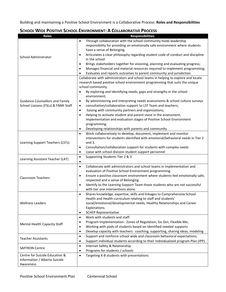Building and maintaining a Positive School Environment is a Collaborative Process: **Roles and Responsibilities**

| <b>Roles</b>                                                    | <b>Responsibilities</b>                                                                                                                                          |  |  |  |  |  |
|-----------------------------------------------------------------|------------------------------------------------------------------------------------------------------------------------------------------------------------------|--|--|--|--|--|
|                                                                 | Through collaboration with the school community holds leadership<br>$\bullet$                                                                                    |  |  |  |  |  |
|                                                                 | responsibility for providing an emotionally safe environment where students                                                                                      |  |  |  |  |  |
|                                                                 | have a sense of Belonging.                                                                                                                                       |  |  |  |  |  |
| School Administrator                                            | Articulates a clear philosophy regarding student code of conduct and discipline<br>$\bullet$<br>in the school                                                    |  |  |  |  |  |
|                                                                 | Brings stakeholders together for visioning, planning and evaluating progress;<br>$\bullet$                                                                       |  |  |  |  |  |
|                                                                 | Manages financial and material resources required to implement programming;<br>$\bullet$                                                                         |  |  |  |  |  |
|                                                                 | Evaluates and reports outcomes to parent community and jurisdiction.                                                                                             |  |  |  |  |  |
|                                                                 | Collaborate with administrators and school teams in helping to explore and locate                                                                                |  |  |  |  |  |
|                                                                 | research based positive school environment programming that suits the unique                                                                                     |  |  |  |  |  |
|                                                                 | school community;                                                                                                                                                |  |  |  |  |  |
|                                                                 | By exploring and identifying needs, gaps and strengths in the school<br>$\bullet$                                                                                |  |  |  |  |  |
|                                                                 | environment;                                                                                                                                                     |  |  |  |  |  |
| <b>Guidance Counsellors and Family</b>                          | By administering and interpreting needs assessments & school culture surveys<br>$\bullet$                                                                        |  |  |  |  |  |
| School Liaisons (FSLs) & FNMI Staff                             | consultation/collaboration support to LST Team and teachers;<br>$\bullet$                                                                                        |  |  |  |  |  |
|                                                                 | liaising with community partners and organizations;<br>$\bullet$                                                                                                 |  |  |  |  |  |
|                                                                 | Helping to activate student and parent voice in the assessment,<br>$\bullet$                                                                                     |  |  |  |  |  |
|                                                                 | implementation and evaluation stages of Positive School Environment                                                                                              |  |  |  |  |  |
|                                                                 | programming.                                                                                                                                                     |  |  |  |  |  |
|                                                                 | Developing relationships with parents and community<br>٠                                                                                                         |  |  |  |  |  |
|                                                                 | Work collaboratively to develop, document, implement and monitor<br>$\bullet$<br>interventions for students identified with emotional/behavioral needs in Tier 2 |  |  |  |  |  |
| Learning Support Teachers (LSTs)                                | and $3.$                                                                                                                                                         |  |  |  |  |  |
|                                                                 | Consultation/collaboration support for students with complex needs<br>$\bullet$                                                                                  |  |  |  |  |  |
|                                                                 | Liaise with school division student support personnel<br>$\bullet$                                                                                               |  |  |  |  |  |
|                                                                 | Supporting Students Tier 2 & 3<br>$\bullet$                                                                                                                      |  |  |  |  |  |
| Learning Assistant Teacher (LAT)                                | $\bullet$                                                                                                                                                        |  |  |  |  |  |
|                                                                 | Collaborate with administrators and school teams in implementation and<br>$\bullet$                                                                              |  |  |  |  |  |
|                                                                 | evaluation of Positive School Environment programming.                                                                                                           |  |  |  |  |  |
|                                                                 | Ensure a positive classroom environment where students feel emotionally safe,<br>$\bullet$                                                                       |  |  |  |  |  |
| <b>Classroom Teachers</b>                                       | respected and a sense of Belonging.                                                                                                                              |  |  |  |  |  |
|                                                                 | Identify to the Learning Support Team those students who are not successful<br>$\bullet$                                                                         |  |  |  |  |  |
|                                                                 | with tier one interventions alone.                                                                                                                               |  |  |  |  |  |
|                                                                 | Shares knowledge, expertise, skills and linkages to Comprehensive School<br>$\bullet$                                                                            |  |  |  |  |  |
|                                                                 | Health and Health curriculum relating to staff and students'                                                                                                     |  |  |  |  |  |
| <b>Wellness Leaders</b>                                         | social/emotional/developmental needs, Healthy Relationships and Career                                                                                           |  |  |  |  |  |
|                                                                 | Explorations.                                                                                                                                                    |  |  |  |  |  |
|                                                                 | <b>SCHEP Representative</b><br>$\bullet$                                                                                                                         |  |  |  |  |  |
|                                                                 | Work with students and staff.<br>$\bullet$                                                                                                                       |  |  |  |  |  |
| <b>Mental Health Capacity Staff</b>                             | Program Implementation: Zones of Regulation; Go Zen; Flexible Me;<br>$\bullet$                                                                                   |  |  |  |  |  |
|                                                                 | Working with pods of students based on identified needed supports<br>٠                                                                                           |  |  |  |  |  |
|                                                                 | Develop capacity with teachers: coaching, supporting, sharing ideas, modeling<br>$\bullet$                                                                       |  |  |  |  |  |
| <b>Teacher Assistants</b>                                       | Support and reinforce school wide and classroom behavioral expectations;<br>$\bullet$                                                                            |  |  |  |  |  |
|                                                                 | Support individual students according to their Individualized program Plan (IPP).<br>$\bullet$                                                                   |  |  |  |  |  |
| <b>SAFFRON Centre</b>                                           | Internet Safety & Relationship<br>$\bullet$                                                                                                                      |  |  |  |  |  |
|                                                                 | Programs for students / schools<br>$\bullet$                                                                                                                     |  |  |  |  |  |
| Centre for Suicide Education &<br>Information / Alberta Suicide | Targeting K-8 students with presentations<br>$\bullet$                                                                                                           |  |  |  |  |  |
| Awareness                                                       |                                                                                                                                                                  |  |  |  |  |  |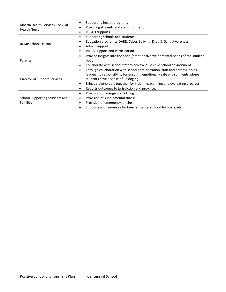| Alberta Health Services - Sexual<br><b>Health Nurse</b> | Supporting health programs<br>$\bullet$                                                    |  |  |  |  |
|---------------------------------------------------------|--------------------------------------------------------------------------------------------|--|--|--|--|
|                                                         | Providing students and staff information<br>$\bullet$                                      |  |  |  |  |
|                                                         | LGBTQ supports<br>$\bullet$                                                                |  |  |  |  |
|                                                         | Supporting schools and students<br>$\bullet$                                               |  |  |  |  |
| <b>RCMP School Liaison</b>                              | Education programs: DARE; Cyber-Bullying; Drug & Gang Awareness                            |  |  |  |  |
|                                                         | Admin Support                                                                              |  |  |  |  |
|                                                         | <b>VITRA Support and Participation</b><br>$\bullet$                                        |  |  |  |  |
|                                                         | Provide insights into the social/emotional/developmental needs of the student<br>$\bullet$ |  |  |  |  |
| Parents                                                 | body                                                                                       |  |  |  |  |
|                                                         | Collaborate with school staff to achieve a Positive School environment<br>$\bullet$        |  |  |  |  |
|                                                         | Through collaboration with school administration, staff and parents, holds<br>$\bullet$    |  |  |  |  |
|                                                         | leadership responsibility for ensuring emotionally safe environments where                 |  |  |  |  |
| Director of Support Services                            | students have a sense of Belonging.                                                        |  |  |  |  |
|                                                         | Brings stakeholders together for visioning, planning and evaluating progress;<br>$\bullet$ |  |  |  |  |
|                                                         | Reports outcomes to jurisdiction and province.<br>٠                                        |  |  |  |  |
|                                                         | Provision of Emergency clothing<br>$\bullet$                                               |  |  |  |  |
| School Supporting Students and                          | Provision of supplemental snacks<br>٠                                                      |  |  |  |  |
| <b>Families</b>                                         | Provision of emergency lunches<br>$\bullet$                                                |  |  |  |  |
|                                                         | Supports and resources for families: targeted food hampers, etc.                           |  |  |  |  |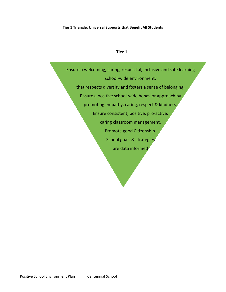#### **Tier 1 Triangle: Universal Supports that Benefit All Students**

#### **Tier 1**

Ensure a welcoming, caring, respectful, inclusive and safe learning school-wide environment; that respects diversity and fosters a sense of belonging. Ensure a positive school-wide behavior approach by promoting empathy, caring, respect & kindness. Ensure consistent, positive, pro-active, caring classroom management. Promote good Citizenship. School goals & strategies are data informed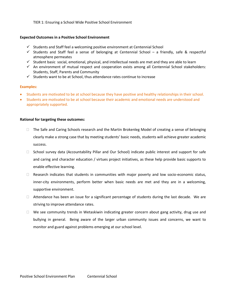TIER 1: Ensuring a School Wide Positive School Environment

#### **Expected Outcomes in a Positive School Environment**

- $\checkmark$  Students and Staff feel a welcoming positive environment at Centennial School
- $\checkmark$  Students and Staff feel a sense of belonging at Centennial School a friendly, safe & respectful atmosphere permeates
- $\checkmark$  Student basic social, emotional, physical, and intellectual needs are met and they are able to learn
- $\checkmark$  An environment of mutual respect and cooperation exists among all Centennial School stakeholders: Students, Staff, Parents and Community
- $\checkmark$  Students want to be at School, thus attendance rates continue to increase

#### **Examples:**

- Students are motivated to be at school because they have positive and healthy relationships in their school.
- Students are motivated to be at school because their academic and emotional needs are understood and appropriately supported.

#### **Rational for targeting these outcomes:**

- □ The Safe and Caring Schools research and the Martin Brokenleg Model of creating a sense of belonging clearly make a strong case that by meeting students' basic needs, students will achieve greater academic success.
- $\Box$  School survey data (Accountability Pillar and Our School) indicate public interest and support for safe and caring and character education / virtues project initiatives, as these help provide basic supports to enable effective learning.
- $\Box$  Research indicates that students in communities with major poverty and low socio-economic status, inner-city environments, perform better when basic needs are met and they are in a welcoming, supportive environment.
- $\Box$  Attendance has been an issue for a significant percentage of students during the last decade. We are striving to improve attendance rates.
- $\Box$  We see community trends in Wetaskiwin indicating greater concern about gang activity, drug use and bullying in general. Being aware of the larger urban community issues and concerns, we want to monitor and guard against problems emerging at our school level.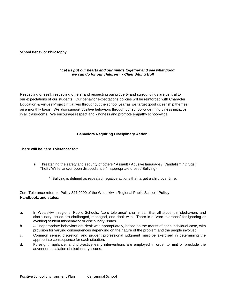#### **School Behavior Philosophy**

#### *"Let us put our hearts and our minds together and see what good we can do for our children" - Chief Sitting Bull*

Respecting oneself, respecting others, and respecting our property and surroundings are central to our expectations of our students. Our behavior expectations policies will be reinforced with Character Education & Virtues Project initiatives throughout the school year as we target good citizenship themes on a monthly basis. We also support positive behaviors through our school-wide mindfulness initiative in all classrooms. We encourage respect and kindness and promote empathy school-wide.

#### **Behaviors Requiring Disciplinary Action:**

#### **There will be Zero Tolerance\* for:**

- Threatening the safety and security of others / Assault / Abusive language / Vandalism / Drugs / Theft / Willful and/or open disobedience / Inappropriate dress / Bullying\*
	- \* Bullying is defined as repeated negative actions that target a child over time.

Zero Tolerance refers to Policy 827.0000 of the Wetaskiwin Regional Public Schools **Policy Handbook, and states:**

- a. In Wetaskiwin regional Public Schools, "zero tolerance" shall mean that all student misbehaviors and disciplinary issues are challenged, managed, and dealt with. There is a "zero tolerance" for ignoring or avoiding student misbehavior or disciplinary issues.
- b. All inappropriate behaviors are dealt with appropriately, based on the merits of each individual case, with provision for varying consequences depending on the nature of the problem and the people involved.
- c. Common sense, discretion, and prudent professional judgment must be exercised in determining the appropriate consequence for each situation.
- d. Foresight, vigilance, and pro-active early interventions are employed in order to limit or preclude the advent or escalation of disciplinary issues.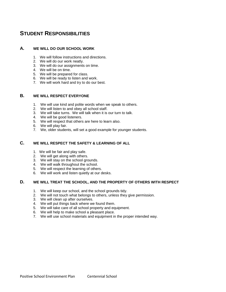## **STUDENT RESPONSIBILITIES**

#### **A. WE WILL DO OUR SCHOOL WORK**

- 1. We will follow instructions and directions.
- 2. We will do our work neatly.
- 3. We will do our assignments on time.
- 4. We will be on time.
- 5. We will be prepared for class.
- 6. We will be ready to listen and work.
- 7. We will work hard and try to do our best.

#### **B. WE WILL RESPECT EVERYONE**

- 1. We will use kind and polite words when we speak to others.
- 2. We will listen to and obey all school staff.
- 3. We will take turns. We will talk when it is our turn to talk.
- 4. We will be good listeners.
- 5. We will respect that others are here to learn also.
- 6. We will play fair.
- 7. We, older students, will set a good example for younger students.

#### **C. WE WILL RESPECT THE SAFETY & LEARNING OF ALL**

- 1. We will be fair and play safe.
- 2. We will get along with others.
- 3. We will stay on the school grounds.
- 4. We will walk throughout the school.
- 5. We will respect the learning of others.
- 6. We will work and listen quietly at our desks.

#### **D. WE WILL TREAT THE SCHOOL, AND THE PROPERTY OF OTHERS WITH RESPECT**

- 1. We will keep our school, and the school grounds tidy.
- 2. We will not touch what belongs to others, unless they give permission.
- 3. We will clean up after ourselves.
- 4. We will put things back where we found them.
- 5. We will take care of all school property and equipment.
- 6. We will help to make school a pleasant place.
- 7. We will use school materials and equipment in the proper intended way.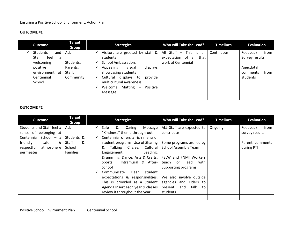#### **OUTCOME #1**

| <b>Outcome</b>                                                                                                  | <b>Target</b><br>Group                                     | <b>Strategies</b>                                                                                                                                                                                                                                                                              | Who will Take the Lead?                                                 | <b>Timelines</b> | <b>Evaluation</b>                                                               |
|-----------------------------------------------------------------------------------------------------------------|------------------------------------------------------------|------------------------------------------------------------------------------------------------------------------------------------------------------------------------------------------------------------------------------------------------------------------------------------------------|-------------------------------------------------------------------------|------------------|---------------------------------------------------------------------------------|
| <b>Students</b><br>and<br>Staff<br>feel<br>a<br>welcoming<br>positive<br>environment at<br>Centennial<br>School | <b>ALL</b><br>Students,<br>Parents,<br>Staff,<br>Community | Visitors are greeted by staff $\&$  <br>students<br><b>School Ambassadors</b><br>✓<br>visual<br>displays<br>Appealing<br>showcasing students<br>displays<br>Cultural<br>provide<br>to<br>multicultural awareness<br>Matting<br>Positive<br>Welcome<br>$\overline{\phantom{a}}$<br>✓<br>Message | All Staff - This is an<br>expectation of all that<br>work at Centennial | Continuous       | Feedback<br>from<br>Survey results<br>Anecdotal<br>from<br>comments<br>students |
|                                                                                                                 |                                                            |                                                                                                                                                                                                                                                                                                |                                                                         |                  |                                                                                 |

#### **OUTCOME #2**

| <b>Outcome</b>            | <b>Target</b><br>Group | <b>Strategies</b> |             |                                   |                     | Who will Take the Lead?      | <b>Timelines</b> | <b>Evaluation</b> |
|---------------------------|------------------------|-------------------|-------------|-----------------------------------|---------------------|------------------------------|------------------|-------------------|
| Students and Staff feel a | <b>ALL</b>             | $\checkmark$      | Safe        | &<br>Caring                       | Message             | ALL Staff are expected to    | Ongoing          | from<br>Feedback  |
| sense of belonging at     |                        |                   |             | "Kindness" theme through-out      |                     | contribute                   |                  | survey results    |
| Centennial School - a     | Students &             |                   |             | Centennial offers a rich menu of  |                     |                              |                  |                   |
| &<br>friendly,<br>safe    | Staff<br>&             |                   |             | student programs: Use of Sharing  |                     | Some programs are led by     |                  | Parent comments   |
| respectful<br>atmosphere  | School                 |                   | &           | Talking Circles, Cultural         |                     | <b>School Assembly Team</b>  |                  | during PTI        |
| permeates                 | <b>Families</b>        |                   | Engagement: |                                   | Beading,            |                              |                  |                   |
|                           |                        |                   |             | Drumming, Dance, Arts & Crafts,   |                     | FSLW and FNMI Workers        |                  |                   |
|                           |                        |                   | Sports:     |                                   | Intramural & After- | teach or<br>lead<br>with     |                  |                   |
|                           |                        |                   | School      |                                   |                     | Supporting programs          |                  |                   |
|                           |                        |                   | Communicate | clear                             | student             |                              |                  |                   |
|                           |                        |                   |             | expectations & responsibilities.  |                     | We also involve outside      |                  |                   |
|                           |                        |                   |             | This is provided as a Student     |                     | agencies and Elders to       |                  |                   |
|                           |                        |                   |             | Agenda Insert each year & classes |                     | talk<br>present<br>and<br>to |                  |                   |
|                           |                        |                   |             | review it throughout the year     |                     | students                     |                  |                   |
|                           |                        |                   |             |                                   |                     |                              |                  |                   |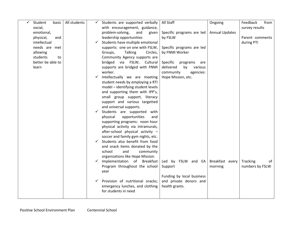| Student<br>basic  | All students |              | Students are supported verbally       | All Staff                   | Ongoing               | from<br>Feedback |
|-------------------|--------------|--------------|---------------------------------------|-----------------------------|-----------------------|------------------|
| social,           |              |              | with encouragement, guidance,         |                             |                       | survey results   |
| emotional,        |              |              | problem-solving,<br>and<br>given      | Specific programs are led   | <b>Annual Updates</b> |                  |
| physical,<br>and  |              |              | leadership opportunities              | by FSLW                     |                       | Parent comments  |
| intellectual      |              | ✓            | Students have multiple emotional      |                             |                       | during PTI       |
| needs are met     |              |              | supports: one on one with FSLW,       | Specific programs are led   |                       |                  |
| allowing          |              |              | <b>Talking</b><br>Groups,<br>Circles, | by FNMI Worker              |                       |                  |
| students<br>to    |              |              | Community Agency supports are         |                             |                       |                  |
| better be able to |              |              | bridged via FSLW, Cultural            | Specific<br>programs<br>are |                       |                  |
| learn             |              |              | supports are bridged with FNMI        | delivered<br>by<br>various  |                       |                  |
|                   |              |              | worker.                               | community<br>agencies:      |                       |                  |
|                   |              | $\checkmark$ | Intellectually we are meeting         | Hope Mission, etc.          |                       |                  |
|                   |              |              | student needs by employing a RTI      |                             |                       |                  |
|                   |              |              | model - identifying student levels    |                             |                       |                  |
|                   |              |              | and supporting them with IPP's,       |                             |                       |                  |
|                   |              |              | small group support, literacy         |                             |                       |                  |
|                   |              |              | support and various targetted         |                             |                       |                  |
|                   |              |              | and universal supports.               |                             |                       |                  |
|                   |              |              | Students are supported<br>with        |                             |                       |                  |
|                   |              |              | opportunities<br>physical<br>and      |                             |                       |                  |
|                   |              |              | supporting programs: noon hour        |                             |                       |                  |
|                   |              |              | physical activity via intramurals,    |                             |                       |                  |
|                   |              |              | after-school physical activity -      |                             |                       |                  |
|                   |              |              | soccer and family gym nights, etc.    |                             |                       |                  |
|                   |              | ✓            | Students also benefit from food       |                             |                       |                  |
|                   |              |              | and snack items donated by the        |                             |                       |                  |
|                   |              |              | school<br>and<br>community            |                             |                       |                  |
|                   |              |              | organizations like Hope Mission.      |                             |                       |                  |
|                   |              | ✓            | Implementation of Breakfast           | Led by FSLW and EA          | Breakfast every       | Tracking<br>of   |
|                   |              |              | Program throughout the school         | Support                     | morning               | numbers by FSLW  |
|                   |              |              | year                                  |                             |                       |                  |
|                   |              |              |                                       | Funding by local business   |                       |                  |
|                   |              |              | Provision of nutritional snacks;      | and private donors and      |                       |                  |
|                   |              |              | emergency lunches, and clothing       | health grants.              |                       |                  |
|                   |              |              | for students in need                  |                             |                       |                  |
|                   |              |              |                                       |                             |                       |                  |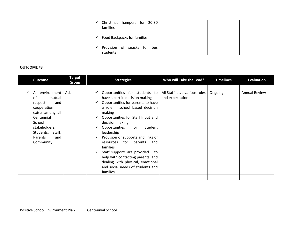| Christmas hampers for 20-30<br>families            |
|----------------------------------------------------|
| <b>Food Backpacks for families</b><br>$\checkmark$ |
| Provision of snacks for bus<br>✓<br>students       |

#### **OUTCOME #3**

| <b>Outcome</b>                                                                                                                                                                  | <b>Target</b><br>Group | <b>Strategies</b>                                                                                                                                                                                                                                                                                                                                                                                                                                                                                                                               | Who will Take the Lead?                         | <b>Timelines</b> | <b>Evaluation</b>    |
|---------------------------------------------------------------------------------------------------------------------------------------------------------------------------------|------------------------|-------------------------------------------------------------------------------------------------------------------------------------------------------------------------------------------------------------------------------------------------------------------------------------------------------------------------------------------------------------------------------------------------------------------------------------------------------------------------------------------------------------------------------------------------|-------------------------------------------------|------------------|----------------------|
|                                                                                                                                                                                 |                        |                                                                                                                                                                                                                                                                                                                                                                                                                                                                                                                                                 |                                                 |                  |                      |
| An environment<br>of<br>mutual<br>respect<br>and<br>cooperation<br>exists among all<br>Centennial<br>School<br>stakeholders:<br>Students, Staff,<br>Parents<br>and<br>Community | ALL                    | Opportunities for students to<br>have a part in decision making<br>Opportunities for parents to have<br>a role in school based decision<br>making<br>Opportunities for Staff Input and<br>decision making<br>Opportunities<br>for<br>Student<br>leadership<br>Provision of supports and links of<br>$\checkmark$<br>for parents<br>resources<br>and<br>families<br>Staff supports are provided $-$ to<br>$\checkmark$<br>help with contacting parents, and<br>dealing with physical, emotional<br>and social needs of students and<br>families. | All Staff have various roles<br>and expectation | Ongoing          | <b>Annual Review</b> |
|                                                                                                                                                                                 |                        |                                                                                                                                                                                                                                                                                                                                                                                                                                                                                                                                                 |                                                 |                  |                      |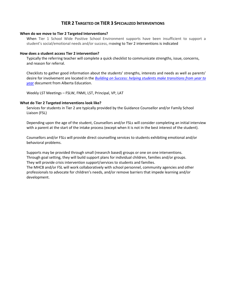#### **TIER 2 TARGETED OR TIER 3 SPECIALIZED INTERVENTIONS**

#### **When do we move to Tier 2 Targeted Interventions?**

When Tier 1 School Wide Positive School Environment supports have been insufficient to support a student's social/emotional needs and/or success, moving to Tier 2 interventions is indicated

#### **How does a student access Tier 2 intervention?**

Typically the referring teacher will complete a quick checklist to communicate strengths, issue, concerns, and reason for referral.

Checklists to gather good information about the students' strengths, interests and needs as well as parents' desire for involvement are located in the *[Building on Success: helping students make transitions from year to](http://education.alberta.ca/media/352661/build.pdf)  [year](http://education.alberta.ca/media/352661/build.pdf)* document from Alberta Education.

Weekly LST Meetings – FSLW, FNMI, LST, Principal, VP, LAT

#### **What do Tier 2 Targeted interventions look like?**

Services for students in Tier 2 are typically provided by the Guidance Counsellor and/or Family School Liaison (FSL)

Depending upon the age of the student, Counsellors and/or FSLs will consider completing an initial interview with a parent at the start of the intake process (except when it is not in the best interest of the student).

Counsellors and/or FSLs will provide direct counselling services to students exhibiting emotional and/or behavioral problems.

Supports may be provided through small (research based) groups or one on one interventions. Through goal setting, they will build support plans for individual children, families and/or groups. They will provide crisis intervention support/services to students and families.

The MHCB and/or FSL will work collaboratively with school personnel, community agencies and other professionals to advocate for children's needs, and/or remove barriers that impede learning and/or development.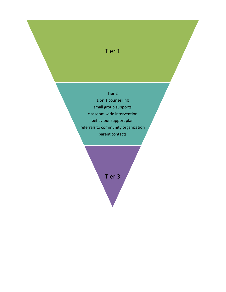## Tier 1

### Tier 2

1 on 1 counselling small group supports classoom wide intervention behaviour support plan referrals to community organization parent contacts

Tier 3